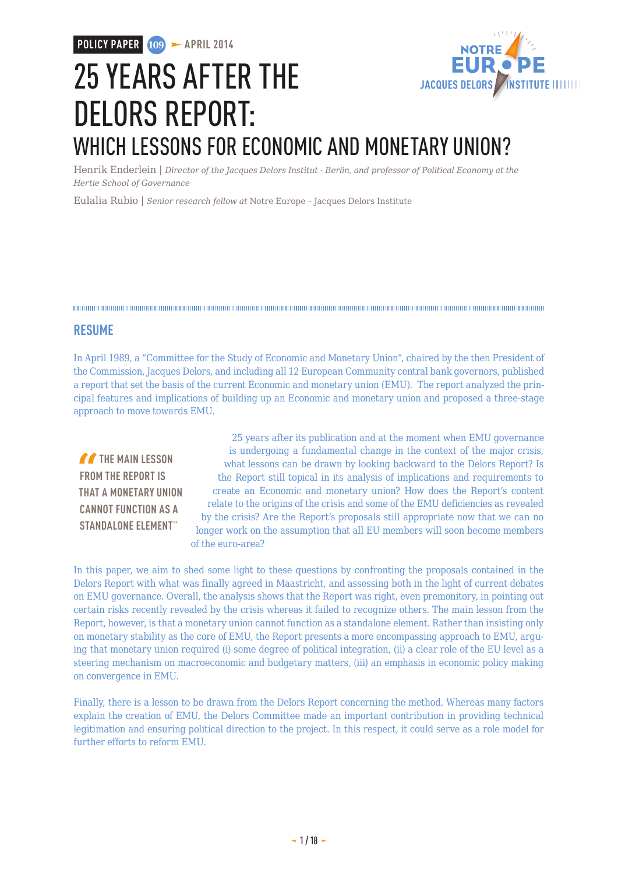

# 25 YEARS AFTER THE DELORS REPORT: WHICH LESSONS FOR ECONOMIC AND MONETARY UNION?

Henrik Enderlein | *Director of the Jacques Delors Institut - Berlin, and professor of Political Economy at the Hertie School of Governance*

Eulalia Rubio | *Senior research fellow at* Notre Europe – Jacques Delors Institute

### **RESUME**

In April 1989, a "Committee for the Study of Economic and Monetary Union", chaired by the then President of the Commission, Jacques Delors, and including all 12 European Community central bank governors, published a report that set the basis of the current Economic and monetary union (EMU). The report analyzed the principal features and implications of building up an Economic and monetary union and proposed a three-stage approach to move towards EMU.

**THE MAIN LESSON FROM THE REPORT IS THAT A MONETARY UNION CANNOT FUNCTION AS A STANDALONE ELEMENT"**

25 years after its publication and at the moment when EMU governance is undergoing a fundamental change in the context of the major crisis, what lessons can be drawn by looking backward to the Delors Report? Is the Report still topical in its analysis of implications and requirements to create an Economic and monetary union? How does the Report's content relate to the origins of the crisis and some of the EMU deficiencies as revealed by the crisis? Are the Report's proposals still appropriate now that we can no longer work on the assumption that all EU members will soon become members of the euro-area?

In this paper, we aim to shed some light to these questions by confronting the proposals contained in the Delors Report with what was finally agreed in Maastricht, and assessing both in the light of current debates on EMU governance. Overall, the analysis shows that the Report was right, even premonitory, in pointing out certain risks recently revealed by the crisis whereas it failed to recognize others. The main lesson from the Report, however, is that a monetary union cannot function as a standalone element. Rather than insisting only on monetary stability as the core of EMU, the Report presents a more encompassing approach to EMU, arguing that monetary union required (i) some degree of political integration, (ii) a clear role of the EU level as a steering mechanism on macroeconomic and budgetary matters, (iii) an emphasis in economic policy making on convergence in EMU.

Finally, there is a lesson to be drawn from the Delors Report concerning the method. Whereas many factors explain the creation of EMU, the Delors Committee made an important contribution in providing technical legitimation and ensuring political direction to the project. In this respect, it could serve as a role model for further efforts to reform EMU.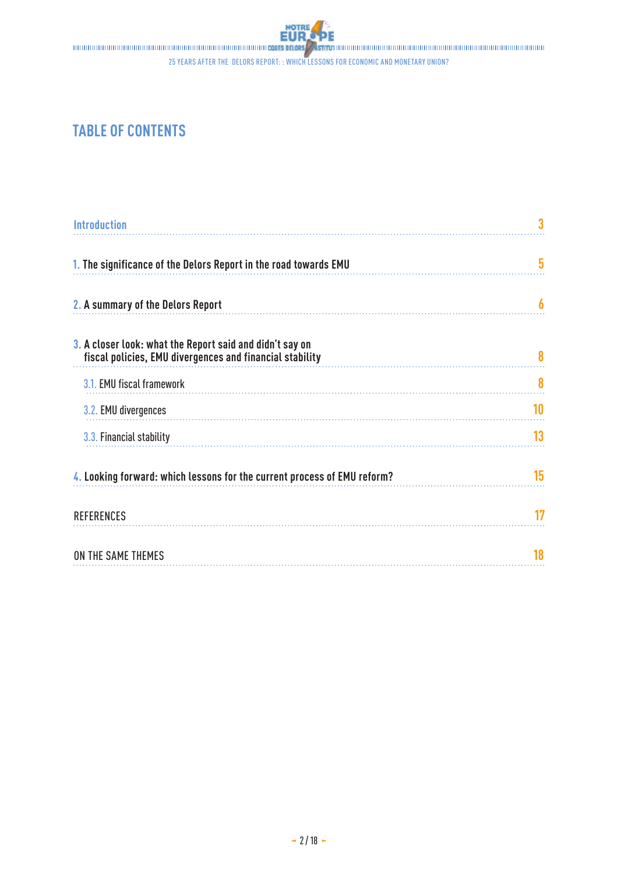

## **TABLE OF CONTENTS**

| <b>Introduction</b>                                                                                                  |    |
|----------------------------------------------------------------------------------------------------------------------|----|
| 1. The significance of the Delors Report in the road towards EMU                                                     | 5  |
| 2. A summary of the Delors Report                                                                                    | h  |
| 3. A closer look: what the Report said and didn't say on<br>fiscal policies, EMU divergences and financial stability | 8  |
| 3.1. EMU fiscal framework                                                                                            | 8  |
| 3.2. EMU divergences                                                                                                 | 10 |
| 3.3. Financial stability                                                                                             | 13 |
| 4. Looking forward: which lessons for the current process of EMU reform?                                             | 15 |
| <b>REFERENCES</b>                                                                                                    | 17 |
| ON THE SAME THEMES                                                                                                   | 18 |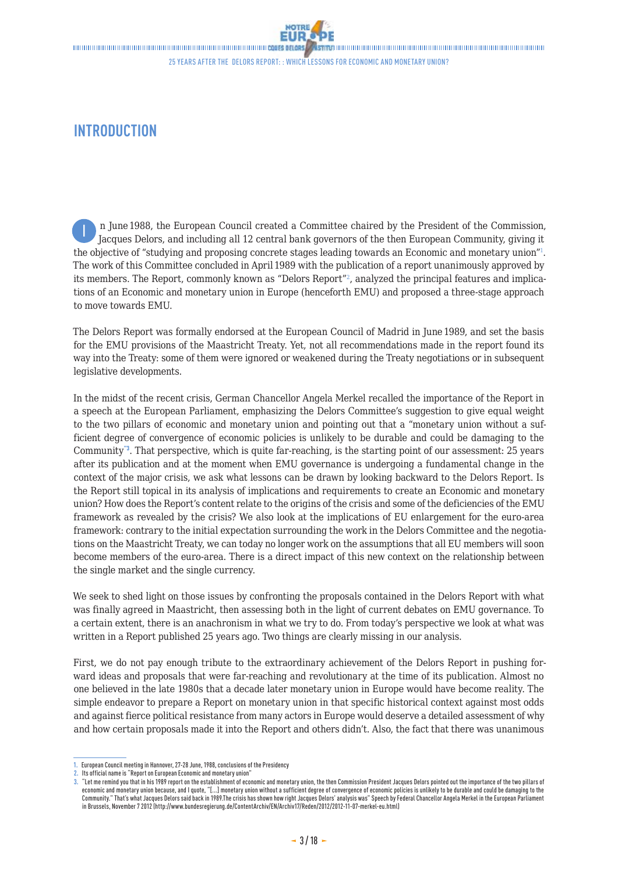## <span id="page-2-0"></span>**INTRODUCTION**

n June 1988, the European Council created a Committee chaired by the President of the Commission, Jacques Delors, and including all 12 central bank governors of the then European Community, giving it the objective of "studying and proposing concrete stages leading towards an Economic and monetary union"<sup>1</sup>. The work of this Committee concluded in April 1989 with the publication of a report unanimously approved by its members. The Report, commonly known as "Delors Report"2, analyzed the principal features and implications of an Economic and monetary union in Europe (henceforth EMU) and proposed a three-stage approach to move towards EMU. I

The Delors Report was formally endorsed at the European Council of Madrid in June 1989, and set the basis for the EMU provisions of the Maastricht Treaty. Yet, not all recommendations made in the report found its way into the Treaty: some of them were ignored or weakened during the Treaty negotiations or in subsequent legislative developments.

In the midst of the recent crisis, German Chancellor Angela Merkel recalled the importance of the Report in a speech at the European Parliament, emphasizing the Delors Committee's suggestion to give equal weight to the two pillars of economic and monetary union and pointing out that a "monetary union without a sufficient degree of convergence of economic policies is unlikely to be durable and could be damaging to the Community<sup>"3</sup>. That perspective, which is quite far-reaching, is the starting point of our assessment: 25 years after its publication and at the moment when EMU governance is undergoing a fundamental change in the context of the major crisis, we ask what lessons can be drawn by looking backward to the Delors Report. Is the Report still topical in its analysis of implications and requirements to create an Economic and monetary union? How does the Report's content relate to the origins of the crisis and some of the deficiencies of the EMU framework as revealed by the crisis? We also look at the implications of EU enlargement for the euro-area framework: contrary to the initial expectation surrounding the work in the Delors Committee and the negotiations on the Maastricht Treaty, we can today no longer work on the assumptions that all EU members will soon become members of the euro-area. There is a direct impact of this new context on the relationship between the single market and the single currency.

We seek to shed light on those issues by confronting the proposals contained in the Delors Report with what was finally agreed in Maastricht, then assessing both in the light of current debates on EMU governance. To a certain extent, there is an anachronism in what we try to do. From today's perspective we look at what was written in a Report published 25 years ago. Two things are clearly missing in our analysis.

First, we do not pay enough tribute to the extraordinary achievement of the Delors Report in pushing forward ideas and proposals that were far-reaching and revolutionary at the time of its publication. Almost no one believed in the late 1980s that a decade later monetary union in Europe would have become reality. The simple endeavor to prepare a Report on monetary union in that specific historical context against most odds and against fierce political resistance from many actors in Europe would deserve a detailed assessment of why and how certain proposals made it into the Report and others didn't. Also, the fact that there was unanimous

**<sup>1.</sup>** European Council meeting in Hannover, 27-28June, 1988, conclusions of the Presidency

**<sup>2.</sup>** Its official name is "Report on European Economic and monetary union"

**<sup>3.</sup>** "Let me remind you that in his 1989 report on the establishment of economic and monetary union, the then Commission President Jacques Delors pointed out the importance of the two pillars of economic and monetary union because, and I quote, "[...] monetary union without a sufficient degree of convergence of economic policies is unlikely to be durable and could be damaging to the Community." That's what Jacques Delors said back in 1989.The crisis has shown how right Jacques Delors' analysis was" Speech by Federal Chancellor Angela Merkel in the European Parliament in Brussels, November7 2012 (http://www.bundesregierung.de/ContentArchiv/EN/Archiv17/Reden/2012/2012-11-07-merkel-eu.html)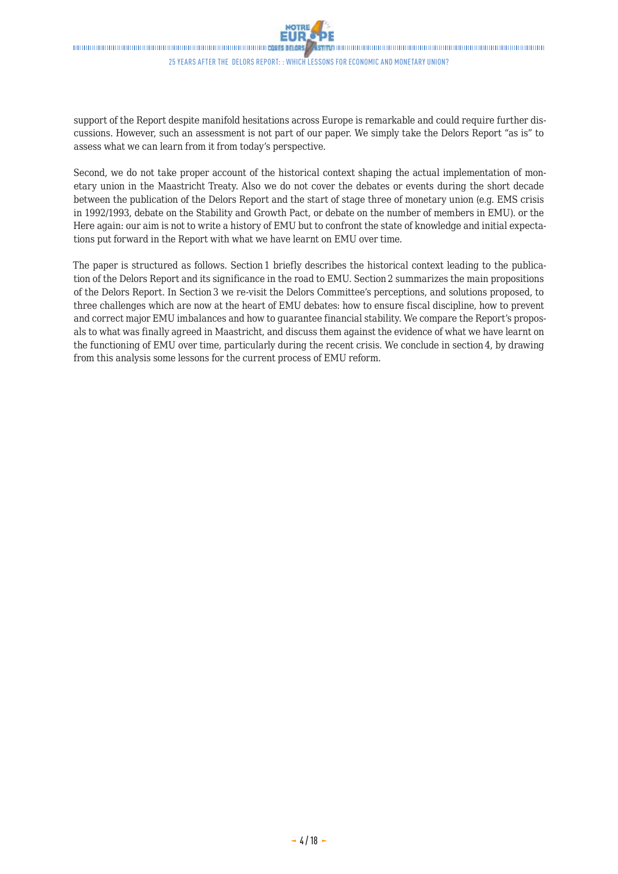

<span id="page-3-0"></span>**STANDONOMORDADO DE DE ANADEMIA DE DE ANADEMIA DE DE ANADEMIA DE DE LA GUERRA DE LA GUERRA DE LA GUERRA DE LA GU** 25 years after the Delors report: : Which lessons for economic and monetary union?

support of the Report despite manifold hesitations across Europe is remarkable and could require further discussions. However, such an assessment is not part of our paper. We simply take the Delors Report "as is" to assess what we can learn from it from today's perspective.

Second, we do not take proper account of the historical context shaping the actual implementation of monetary union in the Maastricht Treaty. Also we do not cover the debates or events during the short decade between the publication of the Delors Report and the start of stage three of monetary union (e.g. EMS crisis in 1992/1993, debate on the Stability and Growth Pact, or debate on the number of members in EMU). or the Here again: our aim is not to write a history of EMU but to confront the state of knowledge and initial expectations put forward in the Report with what we have learnt on EMU over time.

The paper is structured as follows. Section 1 briefly describes the historical context leading to the publication of the Delors Report and its significance in the road to EMU. Section 2 summarizes the main propositions of the Delors Report. In Section 3 we re-visit the Delors Committee's perceptions, and solutions proposed, to three challenges which are now at the heart of EMU debates: how to ensure fiscal discipline, how to prevent and correct major EMU imbalances and how to guarantee financial stability. We compare the Report's proposals to what was finally agreed in Maastricht, and discuss them against the evidence of what we have learnt on the functioning of EMU over time, particularly during the recent crisis. We conclude in section 4, by drawing from this analysis some lessons for the current process of EMU reform.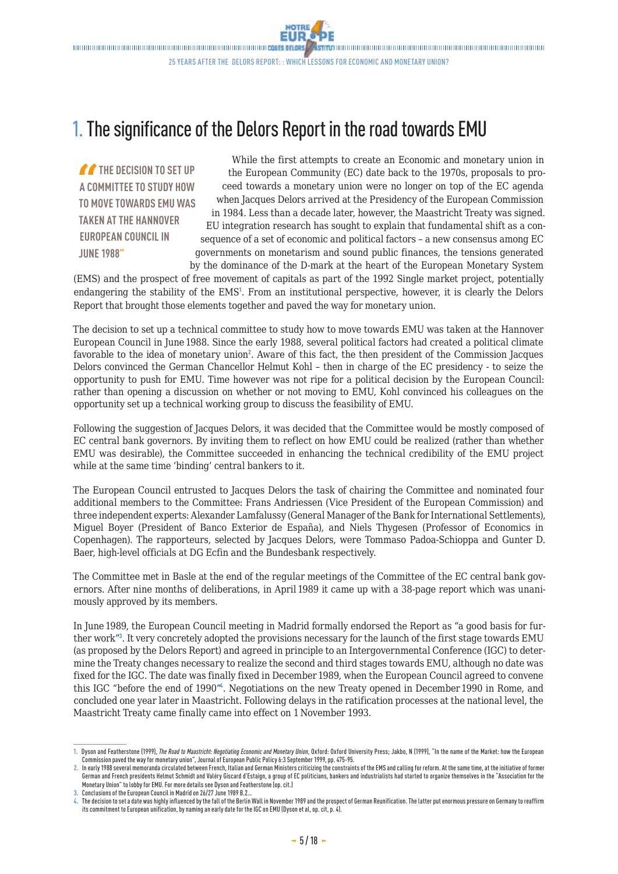## 1. The significance of the Delors Report in the road towards EMU

*THE DECISION TO SET UP* **A COMMITTEE TO STUDY HOW TO MOVE TOWARDS EMU WAS TAKEN AT THE HANNOVER EUROPEAN COUNCIL IN JUNE 1988"**

While the first attempts to create an Economic and monetary union in the European Community (EC) date back to the 1970s, proposals to proceed towards a monetary union were no longer on top of the EC agenda when Jacques Delors arrived at the Presidency of the European Commission in 1984. Less than a decade later, however, the Maastricht Treaty was signed. EU integration research has sought to explain that fundamental shift as a consequence of a set of economic and political factors – a new consensus among EC governments on monetarism and sound public finances, the tensions generated by the dominance of the D-mark at the heart of the European Monetary System

(EMS) and the prospect of free movement of capitals as part of the 1992 Single market project, potentially endangering the stability of the EMS<sup>1</sup>. From an institutional perspective, however, it is clearly the Delors Report that brought those elements together and paved the way for monetary union.

The decision to set up a technical committee to study how to move towards EMU was taken at the Hannover European Council in June 1988. Since the early 1988, several political factors had created a political climate favorable to the idea of monetary union<sup>2</sup>. Aware of this fact, the then president of the Commission Jacques Delors convinced the German Chancellor Helmut Kohl – then in charge of the EC presidency - to seize the opportunity to push for EMU. Time however was not ripe for a political decision by the European Council: rather than opening a discussion on whether or not moving to EMU, Kohl convinced his colleagues on the opportunity set up a technical working group to discuss the feasibility of EMU.

Following the suggestion of Jacques Delors, it was decided that the Committee would be mostly composed of EC central bank governors. By inviting them to reflect on how EMU could be realized (rather than whether EMU was desirable), the Committee succeeded in enhancing the technical credibility of the EMU project while at the same time 'binding' central bankers to it.

The European Council entrusted to Jacques Delors the task of chairing the Committee and nominated four additional members to the Committee: Frans Andriessen (Vice President of the European Commission) and three independent experts: Alexander Lamfalussy (General Manager of the Bank for International Settlements), Miguel Boyer (President of Banco Exterior de España), and Niels Thygesen (Professor of Economics in Copenhagen). The rapporteurs, selected by Jacques Delors, were Tommaso Padoa-Schioppa and Gunter D. Baer, high-level officials at DG Ecfin and the Bundesbank respectively.

The Committee met in Basle at the end of the regular meetings of the Committee of the EC central bank governors. After nine months of deliberations, in April 1989 it came up with a 38-page report which was unanimously approved by its members.

In June 1989, the European Council meeting in Madrid formally endorsed the Report as "a good basis for further work"<sup>3</sup>. It very concretely adopted the provisions necessary for the launch of the first stage towards EMU (as proposed by the Delors Report) and agreed in principle to an Intergovernmental Conference (IGC) to determine the Treaty changes necessary to realize the second and third stages towards EMU, although no date was fixed for the IGC. The date was finally fixed in December 1989, when the European Council agreed to convene this IGC "before the end of 1990"<sup>4</sup> . Negotiations on the new Treaty opened in December 1990 in Rome, and concluded one year later in Maastricht. Following delays in the ratification processes at the national level, the Maastricht Treaty came finally came into effect on 1 November 1993.

**<sup>1.</sup>** Dyson and Featherstone (1999), *The Road to Maastricht: Negotiating Economic and Monetary Union*, Oxford: Oxford University Press; Jakbo, N (1999), "In the name of the Market: how the European Commission paved the way for monetary union", Journal of European Public Policy 6:3 September 1999, pp.475-95.

**<sup>2.</sup>** In early 1988 several memoranda circulated between French, Italian and German Ministers criticizing the constraints of the EMS and calling for reform. At the same time, at the initiative of former German and French presidents Helmut Schmidt and Valéry Giscard d'Estaign, a group of EC politicians, bankers and industrialists had started to organize themselves in the "Association for the Monetary Union" to lobby for EMU. For more details see Dyson and Featherstone (op. cit.)

**<sup>3.</sup> Conclusions of the European Council in Madrid on 26/27 June 1989 B.2.** 

**<sup>4.</sup>** The decision to set a date was highly influenced by the fall of the Berlin Wall in November1989 and the prospect of German Reunification. The latter put enormous pressure on Germany to reaffirm its commitment to European unification, by naming an early date for the IGC on EMU (Dyson et al, op. cit, p. 4).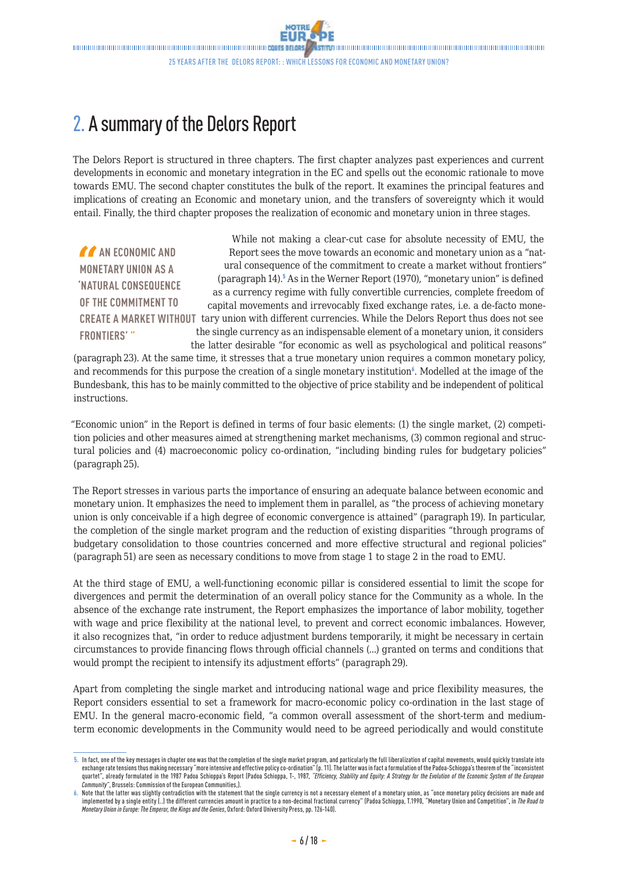## <span id="page-5-0"></span>2. A summary of the Delors Report

The Delors Report is structured in three chapters. The first chapter analyzes past experiences and current developments in economic and monetary integration in the EC and spells out the economic rationale to move towards EMU. The second chapter constitutes the bulk of the report. It examines the principal features and implications of creating an Economic and monetary union, and the transfers of sovereignty which it would entail. Finally, the third chapter proposes the realization of economic and monetary union in three stages.

**AN ECONOMIC AND MONETARY UNION AS A 'NATURAL CONSEQUENCE OF THE COMMITMENT TO**  CREATE A MARKET WITHOUT tary union with different currencies. While the Delors Report thus does not see **FRONTIERS' "** While not making a clear-cut case for absolute necessity of EMU, the Report sees the move towards an economic and monetary union as a "natural consequence of the commitment to create a market without frontiers" (paragraph 14).<sup>5</sup> As in the Werner Report (1970), "monetary union" is defined as a currency regime with fully convertible currencies, complete freedom of capital movements and irrevocably fixed exchange rates, i.e. a de-facto monethe single currency as an indispensable element of a monetary union, it considers the latter desirable "for economic as well as psychological and political reasons"

(paragraph 23). At the same time, it stresses that a true monetary union requires a common monetary policy, and recommends for this purpose the creation of a single monetary institution<sup>6</sup>. Modelled at the image of the Bundesbank, this has to be mainly committed to the objective of price stability and be independent of political instructions.

"Economic union" in the Report is defined in terms of four basic elements: (1) the single market, (2) competition policies and other measures aimed at strengthening market mechanisms, (3) common regional and structural policies and (4) macroeconomic policy co-ordination, "including binding rules for budgetary policies" (paragraph 25).

The Report stresses in various parts the importance of ensuring an adequate balance between economic and monetary union. It emphasizes the need to implement them in parallel, as "the process of achieving monetary union is only conceivable if a high degree of economic convergence is attained" (paragraph 19). In particular, the completion of the single market program and the reduction of existing disparities "through programs of budgetary consolidation to those countries concerned and more effective structural and regional policies" (paragraph 51) are seen as necessary conditions to move from stage 1 to stage 2 in the road to EMU.

At the third stage of EMU, a well-functioning economic pillar is considered essential to limit the scope for divergences and permit the determination of an overall policy stance for the Community as a whole. In the absence of the exchange rate instrument, the Report emphasizes the importance of labor mobility, together with wage and price flexibility at the national level, to prevent and correct economic imbalances. However, it also recognizes that, "in order to reduce adjustment burdens temporarily, it might be necessary in certain circumstances to provide financing flows through official channels (...) granted on terms and conditions that would prompt the recipient to intensify its adjustment efforts" (paragraph 29).

Apart from completing the single market and introducing national wage and price flexibility measures, the Report considers essential to set a framework for macro-economic policy co-ordination in the last stage of EMU. In the general macro-economic field, "a common overall assessment of the short-term and mediumterm economic developments in the Community would need to be agreed periodically and would constitute

**<sup>5.</sup>** In fact, one of the key messages in chapter one was that the completion of the single market program, and particularly the full liberalization of capital movements, would quickly translate into exchange rate tensions thus making necessary "more intensive and effective policy co-ordination" (p.11). The latter was in fact a formulation of the Padoa-Schioppa's theorem of the "inconsistent quartet", already formulated in the 1987 Padoa Schioppa's Report (Padoa Schioppa, T-, 1987, "Efficiency, Stability and Equity: A Strategy for the Evolution of the Economic System of the European *Community"*, Brussels: Commission of the European Communities,).

**<sup>6.</sup>** Note that the latter was slightly contradiction with the statement that the single currency is not a necessary element of a monetary union, as "once monetary policy decisions are made and implemented by a single entity (..) the different currencies amount in practice to a non-decimal fractional currency" (Padoa Schioppa, T.1990, "Monetary Union and Competition", in *The Road to Monetary Union in Europe: The Emperor, the Kings and the Genies*, Oxford: Oxford University Press, pp.126-140).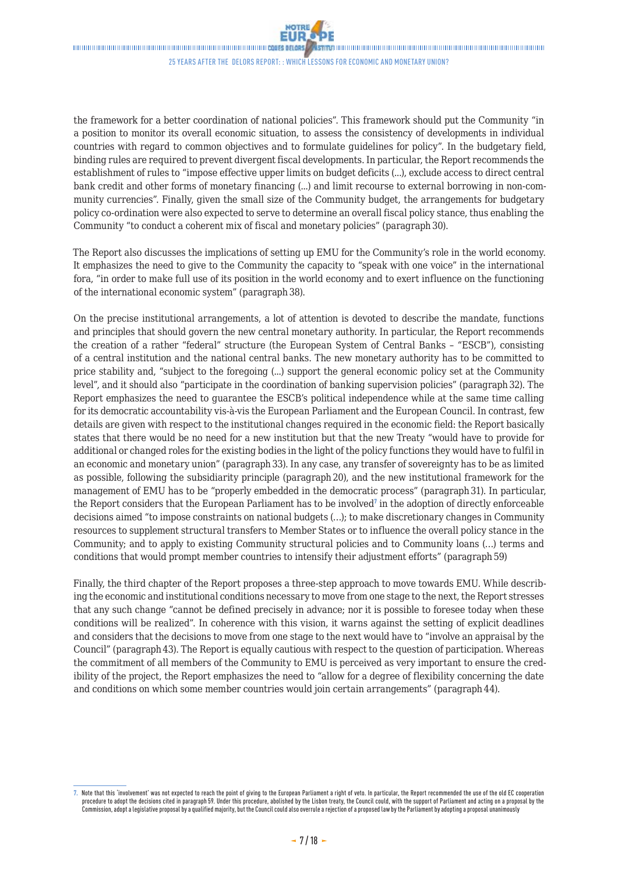

**STANDONOMORDADO DE DE ANADEMIA DE DE ANADEMIA DE DE ANADEMIA DE DE LA GUERRA DE LA GUERRA DE LA GUERRA DE LA GU** 

25 years after the Delors report: : Which lessons for economic and monetary union?

the framework for a better coordination of national policies". This framework should put the Community "in a position to monitor its overall economic situation, to assess the consistency of developments in individual countries with regard to common objectives and to formulate guidelines for policy". In the budgetary field, binding rules are required to prevent divergent fiscal developments. In particular, the Report recommends the establishment of rules to "impose effective upper limits on budget deficits (...), exclude access to direct central bank credit and other forms of monetary financing (...) and limit recourse to external borrowing in non-community currencies". Finally, given the small size of the Community budget, the arrangements for budgetary policy co-ordination were also expected to serve to determine an overall fiscal policy stance, thus enabling the Community "to conduct a coherent mix of fiscal and monetary policies" (paragraph 30).

The Report also discusses the implications of setting up EMU for the Community's role in the world economy. It emphasizes the need to give to the Community the capacity to "speak with one voice" in the international fora, "in order to make full use of its position in the world economy and to exert influence on the functioning of the international economic system" (paragraph 38).

On the precise institutional arrangements, a lot of attention is devoted to describe the mandate, functions and principles that should govern the new central monetary authority. In particular, the Report recommends the creation of a rather "federal" structure (the European System of Central Banks – "ESCB"), consisting of a central institution and the national central banks. The new monetary authority has to be committed to price stability and, "subject to the foregoing (...) support the general economic policy set at the Community level", and it should also "participate in the coordination of banking supervision policies" (paragraph 32). The Report emphasizes the need to guarantee the ESCB's political independence while at the same time calling for its democratic accountability vis-à-vis the European Parliament and the European Council. In contrast, few details are given with respect to the institutional changes required in the economic field: the Report basically states that there would be no need for a new institution but that the new Treaty "would have to provide for additional or changed roles for the existing bodies in the light of the policy functions they would have to fulfil in an economic and monetary union" (paragraph 33). In any case, any transfer of sovereignty has to be as limited as possible, following the subsidiarity principle (paragraph 20), and the new institutional framework for the management of EMU has to be "properly embedded in the democratic process" (paragraph 31). In particular, the Report considers that the European Parliament has to be involved<sup>7</sup> in the adoption of directly enforceable decisions aimed "to impose constraints on national budgets (…); to make discretionary changes in Community resources to supplement structural transfers to Member States or to influence the overall policy stance in the Community; and to apply to existing Community structural policies and to Community loans (…) terms and conditions that would prompt member countries to intensify their adjustment efforts" (paragraph 59)

Finally, the third chapter of the Report proposes a three-step approach to move towards EMU. While describing the economic and institutional conditions necessary to move from one stage to the next, the Report stresses that any such change "cannot be defined precisely in advance; nor it is possible to foresee today when these conditions will be realized". In coherence with this vision, it warns against the setting of explicit deadlines and considers that the decisions to move from one stage to the next would have to "involve an appraisal by the Council" (paragraph 43). The Report is equally cautious with respect to the question of participation. Whereas the commitment of all members of the Community to EMU is perceived as very important to ensure the credibility of the project, the Report emphasizes the need to "allow for a degree of flexibility concerning the date and conditions on which some member countries would join certain arrangements" (paragraph 44).

**<sup>7.</sup>** Note that this 'involvement' was not expected to reach the point of giving to the European Parliament a right of veto. In particular, the Report recommended the use of the old EC cooperation procedure to adopt the decisions cited in paragraph59. Under this procedure, abolished by the Lisbon treaty, the Council could, with the support of Parliament and acting on a proposal by the Commission, adopt a legislative proposal by a [qualified majority,](http://en.wikipedia.org/wiki/Qualified_majority) but the Council could also overrule a rejection of a proposed law by the Parliament by adopting a proposal unanimously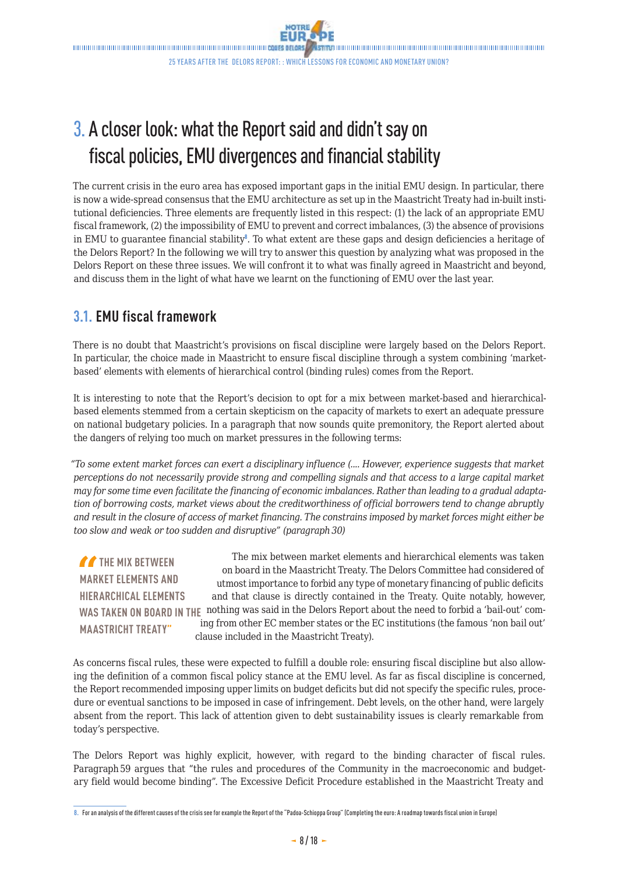## 3. A closer look: what the Report said and didn't say on fiscal policies, EMU divergences and financial stability

The current crisis in the euro area has exposed important gaps in the initial EMU design. In particular, there is now a wide-spread consensus that the EMU architecture as set up in the Maastricht Treaty had in-built institutional deficiencies. Three elements are frequently listed in this respect: (1) the lack of an appropriate EMU fiscal framework, (2) the impossibility of EMU to prevent and correct imbalances, (3) the absence of provisions in EMU to guarantee financial stability $^{\circ}$ . To what extent are these gaps and design deficiencies a heritage of the Delors Report? In the following we will try to answer this question by analyzing what was proposed in the Delors Report on these three issues. We will confront it to what was finally agreed in Maastricht and beyond, and discuss them in the light of what have we learnt on the functioning of EMU over the last year.

## **3.1. EMU fiscal framework**

There is no doubt that Maastricht's provisions on fiscal discipline were largely based on the Delors Report. In particular, the choice made in Maastricht to ensure fiscal discipline through a system combining 'marketbased' elements with elements of hierarchical control (binding rules) comes from the Report.

It is interesting to note that the Report's decision to opt for a mix between market-based and hierarchicalbased elements stemmed from a certain skepticism on the capacity of markets to exert an adequate pressure on national budgetary policies. In a paragraph that now sounds quite premonitory, the Report alerted about the dangers of relying too much on market pressures in the following terms:

*"To some extent market forces can exert a disciplinary influence (.... However, experience suggests that market perceptions do not necessarily provide strong and compelling signals and that access to a large capital market may for some time even facilitate the financing of economic imbalances. Rather than leading to a gradual adaptation of borrowing costs, market views about the creditworthiness of official borrowers tend to change abruptly and result in the closure of access of market financing. The constrains imposed by market forces might either be too slow and weak or too sudden and disruptive" (paragraph 30)*

*THE MIX BETWEEN* **MARKET ELEMENTS AND HIERARCHICAL ELEMENTS MAASTRICHT TREATY"**

**WAS TAKEN ON BOARD IN THE**  nothing was said in the Delors Report about the need to forbid a 'bail-out' com-The mix between market elements and hierarchical elements was taken on board in the Maastricht Treaty. The Delors Committee had considered of utmost importance to forbid any type of monetary financing of public deficits and that clause is directly contained in the Treaty. Quite notably, however, ing from other EC member states or the EC institutions (the famous 'non bail out' clause included in the Maastricht Treaty).

As concerns fiscal rules, these were expected to fulfill a double role: ensuring fiscal discipline but also allowing the definition of a common fiscal policy stance at the EMU level. As far as fiscal discipline is concerned, the Report recommended imposing upper limits on budget deficits but did not specify the specific rules, procedure or eventual sanctions to be imposed in case of infringement. Debt levels, on the other hand, were largely absent from the report. This lack of attention given to debt sustainability issues is clearly remarkable from today's perspective.

The Delors Report was highly explicit, however, with regard to the binding character of fiscal rules. Paragraph 59 argues that "the rules and procedures of the Community in the macroeconomic and budgetary field would become binding". The Excessive Deficit Procedure established in the Maastricht Treaty and

**<sup>8.</sup>** For an analysis of the different causes of the crisis see for example the Report of the "Padoa-Schioppa Group" (Completing the euro: A roadmap towards fiscal union in Europe)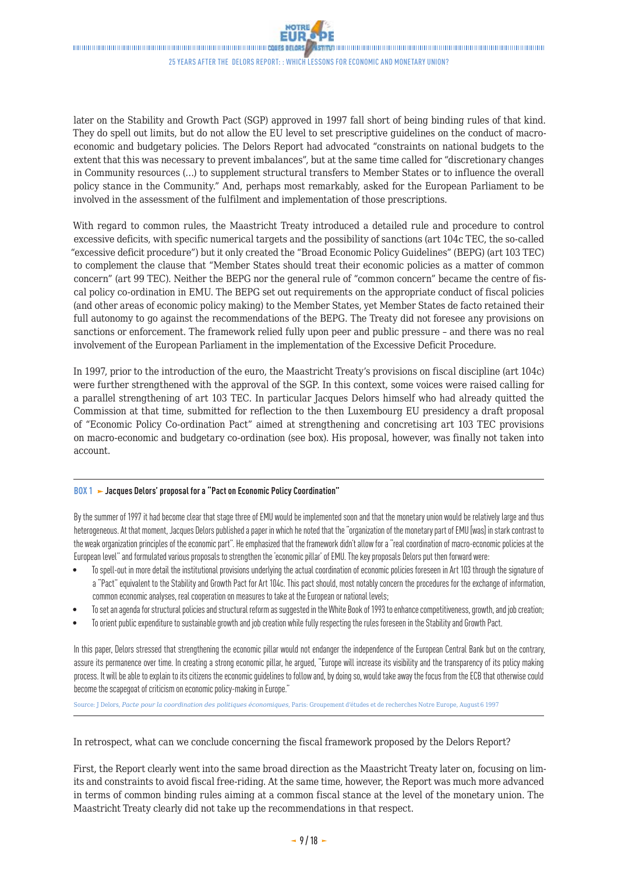

<span id="page-8-0"></span>**STANDONOMORDADO DE DE ANADEMIA DE DE ANADEMIA DE DE ANADEMIA DE DE LA GUERRA DE LA GUERRA DE LA GUERRA DE LA GU** 25 years after the Delors report: : Which lessons for economic and monetary union?

later on the Stability and Growth Pact (SGP) approved in 1997 fall short of being binding rules of that kind. They do spell out limits, but do not allow the EU level to set prescriptive guidelines on the conduct of macroeconomic and budgetary policies. The Delors Report had advocated "constraints on national budgets to the extent that this was necessary to prevent imbalances", but at the same time called for "discretionary changes in Community resources (…) to supplement structural transfers to Member States or to influence the overall policy stance in the Community." And, perhaps most remarkably, asked for the European Parliament to be involved in the assessment of the fulfilment and implementation of those prescriptions.

With regard to common rules, the Maastricht Treaty introduced a detailed rule and procedure to control excessive deficits, with specific numerical targets and the possibility of sanctions (art 104c TEC, the so-called "excessive deficit procedure") but it only created the "Broad Economic Policy Guidelines" (BEPG) (art 103 TEC) to complement the clause that "Member States should treat their economic policies as a matter of common concern" (art 99 TEC). Neither the BEPG nor the general rule of "common concern" became the centre of fiscal policy co-ordination in EMU. The BEPG set out requirements on the appropriate conduct of fiscal policies (and other areas of economic policy making) to the Member States, yet Member States de facto retained their full autonomy to go against the recommendations of the BEPG. The Treaty did not foresee any provisions on sanctions or enforcement. The framework relied fully upon peer and public pressure – and there was no real involvement of the European Parliament in the implementation of the Excessive Deficit Procedure.

In 1997, prior to the introduction of the euro, the Maastricht Treaty's provisions on fiscal discipline (art 104c) were further strengthened with the approval of the SGP. In this context, some voices were raised calling for a parallel strengthening of art 103 TEC. In particular Jacques Delors himself who had already quitted the Commission at that time, submitted for reflection to the then Luxembourg EU presidency a draft proposal of "Economic Policy Co-ordination Pact" aimed at strengthening and concretising art 103 TEC provisions on macro-economic and budgetary co-ordination (see box). His proposal, however, was finally not taken into account.

#### **BOX 1 > Jacques Delors' proposal for a "Pact on Economic Policy Coordination"**

By the summer of 1997 it had become clear that stage three of EMU would be implemented soon and that the monetary union would be relatively large and thus heterogeneous. At that moment, Jacques Delors published a paper in which he noted that the "organization of the monetary part of EMU [was] in stark contrast to the weak organization principles of the economic part". He emphasized that the framework didn't allow for a "real coordination of macro-economic policies at the European level" and formulated various proposals to strengthen the 'economic pillar' of EMU. The key proposals Delors put then forward were:

- To spell-out in more detail the institutional provisions underlying the actual coordination of economic policies foreseen in Art 103 through the signature of a "Pact" equivalent to the Stability and Growth Pact for Art 104c. This pact should, most notably concern the procedures for the exchange of information, common economic analyses, real cooperation on measures to take at the European or national levels;
- To set an agenda for structural policies and structural reform as suggested in the White Book of 1993 to enhance competitiveness, growth, and job creation;
- To orient public expenditure to sustainable growth and job creation while fully respecting the rules foreseen in the Stability and Growth Pact.

In this paper, Delors stressed that strengthening the economic pillar would not endanger the independence of the European Central Bank but on the contrary, assure its permanence over time. In creating a strong economic pillar, he argued, "Europe will increase its visibility and the transparency of its policy making process. It will be able to explain to its citizens the economic guidelines to follow and, by doing so, would take away the focus from the ECB that otherwise could become the scapegoat of criticism on economic policy-making in Europe."

Source: J Delors, *Pacte pour la coordination des politiques économiques*, Paris: Groupement d'études et de recherches Notre Europe, August 6 1997

In retrospect, what can we conclude concerning the fiscal framework proposed by the Delors Report?

First, the Report clearly went into the same broad direction as the Maastricht Treaty later on, focusing on limits and constraints to avoid fiscal free-riding. At the same time, however, the Report was much more advanced in terms of common binding rules aiming at a common fiscal stance at the level of the monetary union. The Maastricht Treaty clearly did not take up the recommendations in that respect.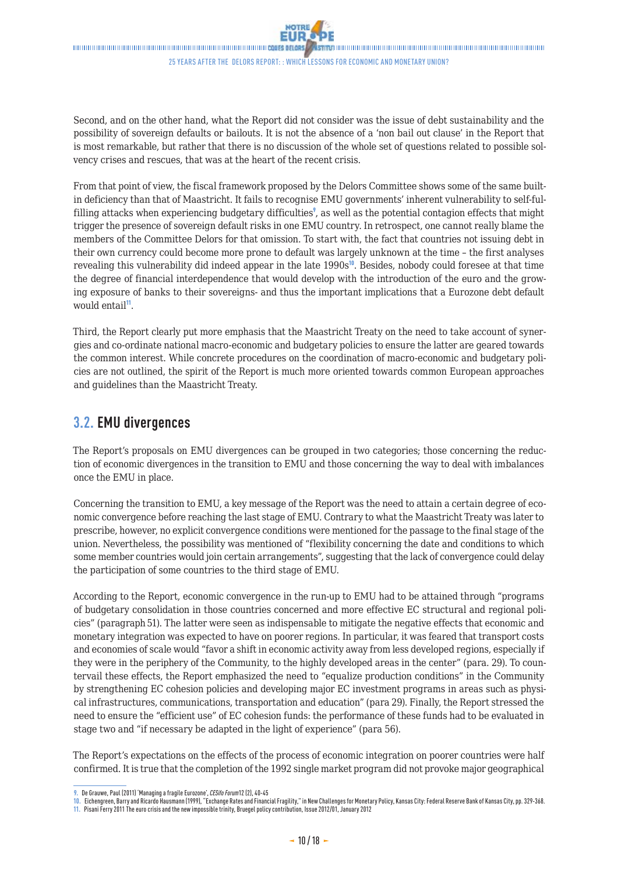

25 years after the Delors report: : Which lessons for economic and monetary union?

Second, and on the other hand, what the Report did not consider was the issue of debt sustainability and the possibility of sovereign defaults or bailouts. It is not the absence of a 'non bail out clause' in the Report that is most remarkable, but rather that there is no discussion of the whole set of questions related to possible solvency crises and rescues, that was at the heart of the recent crisis.

From that point of view, the fiscal framework proposed by the Delors Committee shows some of the same builtin deficiency than that of Maastricht. It fails to recognise EMU governments' inherent vulnerability to self-fulfilling attacks when experiencing budgetary difficulties<sup>9</sup>, as well as the potential contagion effects that might trigger the presence of sovereign default risks in one EMU country. In retrospect, one cannot really blame the members of the Committee Delors for that omission. To start with, the fact that countries not issuing debt in their own currency could become more prone to default was largely unknown at the time – the first analyses revealing this vulnerability did indeed appear in the late 1990s<sup>10</sup>. Besides, nobody could foresee at that time the degree of financial interdependence that would develop with the introduction of the euro and the growing exposure of banks to their sovereigns- and thus the important implications that a Eurozone debt default would entail<sup>11</sup>.

Third, the Report clearly put more emphasis that the Maastricht Treaty on the need to take account of synergies and co-ordinate national macro-economic and budgetary policies to ensure the latter are geared towards the common interest. While concrete procedures on the coordination of macro-economic and budgetary policies are not outlined, the spirit of the Report is much more oriented towards common European approaches and guidelines than the Maastricht Treaty.

### **3.2. EMU divergences**

The Report's proposals on EMU divergences can be grouped in two categories; those concerning the reduction of economic divergences in the transition to EMU and those concerning the way to deal with imbalances once the EMU in place.

Concerning the transition to EMU, a key message of the Report was the need to attain a certain degree of economic convergence before reaching the last stage of EMU. Contrary to what the Maastricht Treaty was later to prescribe, however, no explicit convergence conditions were mentioned for the passage to the final stage of the union. Nevertheless, the possibility was mentioned of "flexibility concerning the date and conditions to which some member countries would join certain arrangements", suggesting that the lack of convergence could delay the participation of some countries to the third stage of EMU.

According to the Report, economic convergence in the run-up to EMU had to be attained through "programs of budgetary consolidation in those countries concerned and more effective EC structural and regional policies" (paragraph 51). The latter were seen as indispensable to mitigate the negative effects that economic and monetary integration was expected to have on poorer regions. In particular, it was feared that transport costs and economies of scale would "favor a shift in economic activity away from less developed regions, especially if they were in the periphery of the Community, to the highly developed areas in the center" (para. 29). To countervail these effects, the Report emphasized the need to "equalize production conditions" in the Community by strengthening EC cohesion policies and developing major EC investment programs in areas such as physical infrastructures, communications, transportation and education" (para 29). Finally, the Report stressed the need to ensure the "efficient use" of EC cohesion funds: the performance of these funds had to be evaluated in stage two and "if necessary be adapted in the light of experience" (para 56).

The Report's expectations on the effects of the process of economic integration on poorer countries were half confirmed. It is true that the completion of the 1992 single market program did not provoke major geographical

**<sup>9.</sup>** De Grauwe, Paul (2011) 'Managing a fragile Eurozone', *CESifo Forum*12 (2), 40-45

**<sup>10.</sup>** Eichengreen, Barry and Ricardo Hausmann (1999), "Exchange Rates and Financial Fragility," in New Challenges for Monetary Policy, Kansas City: Federal Reserve Bank of Kansas City, pp.329-368.

**<sup>11.</sup>** Pisani Ferry 2011 The euro crisis and the new impossible trinity, Bruegel policy contribution, Issue 2012/01, January2012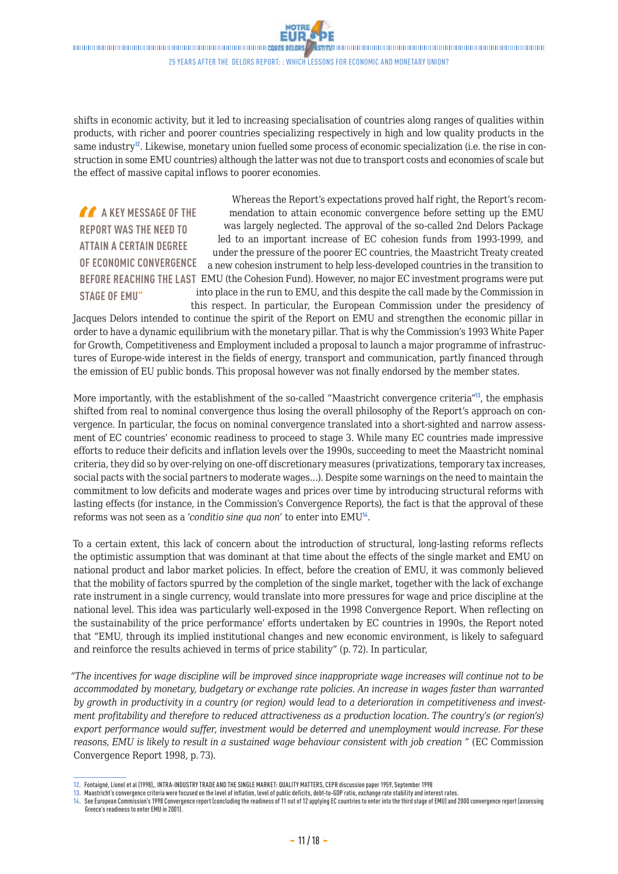

<span id="page-10-0"></span>25 years after the Delors report: : Which lessons for economic and monetary union?

shifts in economic activity, but it led to increasing specialisation of countries along ranges of qualities within products, with richer and poorer countries specializing respectively in high and low quality products in the same industry<sup>12</sup>. Likewise, monetary union fuelled some process of economic specialization (i.e. the rise in construction in some EMU countries) although the latter was not due to transport costs and economies of scale but the effect of massive capital inflows to poorer economies.

**A A KEY MESSAGE OF THE REPORT WAS THE NEED TO ATTAIN A CERTAIN DEGREE OF ECONOMIC CONVERGENCE BEFORE REACHING THE LAST**  EMU (the Cohesion Fund). However, no major EC investment programs were put **STAGE OF EMU"** Whereas the Report's expectations proved half right, the Report's recommendation to attain economic convergence before setting up the EMU was largely neglected. The approval of the so-called 2nd Delors Package led to an important increase of EC cohesion funds from 1993-1999, and under the pressure of the poorer EC countries, the Maastricht Treaty created a new cohesion instrument to help less-developed countries in the transition to into place in the run to EMU, and this despite the call made by the Commission in this respect. In particular, the European Commission under the presidency of

Jacques Delors intended to continue the spirit of the Report on EMU and strengthen the economic pillar in order to have a dynamic equilibrium with the monetary pillar. That is why the Commission's 1993 White Paper for Growth, Competitiveness and Employment included a proposal to launch a major programme of infrastructures of Europe-wide interest in the fields of energy, transport and communication, partly financed through the emission of EU public bonds. This proposal however was not finally endorsed by the member states.

More importantly, with the establishment of the so-called "Maastricht convergence criteria"<sup>13</sup>, the emphasis shifted from real to nominal convergence thus losing the overall philosophy of the Report's approach on convergence. In particular, the focus on nominal convergence translated into a short-sighted and narrow assessment of EC countries' economic readiness to proceed to stage 3. While many EC countries made impressive efforts to reduce their deficits and inflation levels over the 1990s, succeeding to meet the Maastricht nominal criteria, they did so by over-relying on one-off discretionary measures (privatizations, temporary tax increases, social pacts with the social partners to moderate wages…). Despite some warnings on the need to maintain the commitment to low deficits and moderate wages and prices over time by introducing structural reforms with lasting effects (for instance, in the Commission's Convergence Reports), the fact is that the approval of these reforms was not seen as a *'conditio sine qua non'* to enter into EMU<sup>14</sup>.

To a certain extent, this lack of concern about the introduction of structural, long-lasting reforms reflects the optimistic assumption that was dominant at that time about the effects of the single market and EMU on national product and labor market policies. In effect, before the creation of EMU, it was commonly believed that the mobility of factors spurred by the completion of the single market, together with the lack of exchange rate instrument in a single currency, would translate into more pressures for wage and price discipline at the national level. This idea was particularly well-exposed in the 1998 Convergence Report. When reflecting on the sustainability of the price performance' efforts undertaken by EC countries in 1990s, the Report noted that "EMU, through its implied institutional changes and new economic environment, is likely to safeguard and reinforce the results achieved in terms of price stability" (p. 72). In particular,

*"The incentives for wage discipline will be improved since inappropriate wage increases will continue not to be accommodated by monetary, budgetary or exchange rate policies. An increase in wages faster than warranted by growth in productivity in a country (or region) would lead to a deterioration in competitiveness and investment profitability and therefore to reduced attractiveness as a production location. The country's (or region's) export performance would suffer, investment would be deterred and unemployment would increase. For these reasons, EMU is likely to result in a sustained wage behaviour consistent with job creation "* (EC Commission Convergence Report 1998, p. 73).

**<sup>12.</sup>** Fontaigné, Lionel et al (1998),. INTRA-INDUSTRY TRADE AND THE SINGLE MARKET: QUALITY MATTERS, CEPR discussion paper 1959, September1998

**<sup>13.</sup>** Maastricht's convergence criteria were focused on the level of inflation, level of public deficits, debt-to-GDP ratio, exchange rate stability and interest rates.

**<sup>14.</sup>** See European Commission's 1998 Convergence report (concluding the readiness of 11 out of 12 applying EC countries to enter into the third stage of EMU) and 2000 convergence report (assessing Greece's readiness to enter EMU in 2001).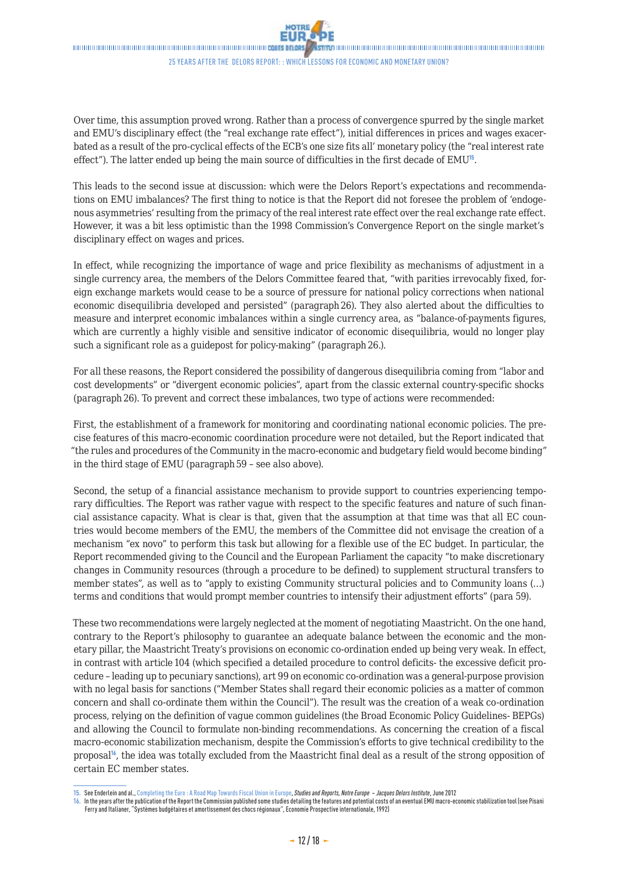

**STAN** DIRITHIRD DIRICH DIRICH DIRICH DIRICH DIRICH DIRICH DIRICH DIRICH DIRICH DIRICH DIRICH DIRICH DIRICH DIRI 25 years after the Delors report: : Which lessons for economic and monetary union?

Over time, this assumption proved wrong. Rather than a process of convergence spurred by the single market and EMU's disciplinary effect (the "real exchange rate effect"), initial differences in prices and wages exacerbated as a result of the pro-cyclical effects of the ECB's one size fits all' monetary policy (the "real interest rate effect"). The latter ended up being the main source of difficulties in the first decade of  $EMU^{15}$ .

This leads to the second issue at discussion: which were the Delors Report's expectations and recommendations on EMU imbalances? The first thing to notice is that the Report did not foresee the problem of 'endogenous asymmetries' resulting from the primacy of the real interest rate effect over the real exchange rate effect. However, it was a bit less optimistic than the 1998 Commission's Convergence Report on the single market's disciplinary effect on wages and prices.

In effect, while recognizing the importance of wage and price flexibility as mechanisms of adjustment in a single currency area, the members of the Delors Committee feared that, "with parities irrevocably fixed, foreign exchange markets would cease to be a source of pressure for national policy corrections when national economic disequilibria developed and persisted" (paragraph 26). They also alerted about the difficulties to measure and interpret economic imbalances within a single currency area, as "balance-of-payments figures, which are currently a highly visible and sensitive indicator of economic disequilibria, would no longer play such a significant role as a guidepost for policy-making" (paragraph 26.).

For all these reasons, the Report considered the possibility of dangerous disequilibria coming from "labor and cost developments" or "divergent economic policies", apart from the classic external country-specific shocks (paragraph 26). To prevent and correct these imbalances, two type of actions were recommended:

First, the establishment of a framework for monitoring and coordinating national economic policies. The precise features of this macro-economic coordination procedure were not detailed, but the Report indicated that "the rules and procedures of the Community in the macro-economic and budgetary field would become binding" in the third stage of EMU (paragraph 59 – see also above).

Second, the setup of a financial assistance mechanism to provide support to countries experiencing temporary difficulties. The Report was rather vague with respect to the specific features and nature of such financial assistance capacity. What is clear is that, given that the assumption at that time was that all EC countries would become members of the EMU, the members of the Committee did not envisage the creation of a mechanism "ex novo" to perform this task but allowing for a flexible use of the EC budget. In particular, the Report recommended giving to the Council and the European Parliament the capacity "to make discretionary changes in Community resources (through a procedure to be defined) to supplement structural transfers to member states", as well as to "apply to existing Community structural policies and to Community loans (…) terms and conditions that would prompt member countries to intensify their adjustment efforts" (para 59).

These two recommendations were largely neglected at the moment of negotiating Maastricht. On the one hand, contrary to the Report's philosophy to guarantee an adequate balance between the economic and the monetary pillar, the Maastricht Treaty's provisions on economic co-ordination ended up being very weak. In effect, in contrast with article 104 (which specified a detailed procedure to control deficits- the excessive deficit procedure – leading up to pecuniary sanctions), art 99 on economic co-ordination was a general-purpose provision with no legal basis for sanctions ("Member States shall regard their economic policies as a matter of common concern and shall co-ordinate them within the Council"). The result was the creation of a weak co-ordination process, relying on the definition of vague common guidelines (the Broad Economic Policy Guidelines- BEPGs) and allowing the Council to formulate non-binding recommendations. As concerning the creation of a fiscal macro-economic stabilization mechanism, despite the Commission's efforts to give technical credibility to the proposal<sup>16</sup>, the idea was totally excluded from the Maastricht final deal as a result of the strong opposition of certain EC member states.

**<sup>15.</sup>** See Enderlein and al., [Completing the Euro : A Road Map Towards Fiscal Union in Europe,](http://www.eng.notre-europe.eu/011-3317-Completing-the-EuroA-road-map-towards-fiscal-union-in-Europe.html) *Studies and Reports, Notre Europe – Jacques Delors Institute*, June 2012

**<sup>16.</sup>** In the years after the publication of the Report the Commission published some studies detailing the features and potential costs of an eventual EMU macro-economic stabilization tool (see Pisani Ferry and Italianer, "Systèmes budgétaires et amortissement des chocs régionaux", Economie Prospective internationale, 1992)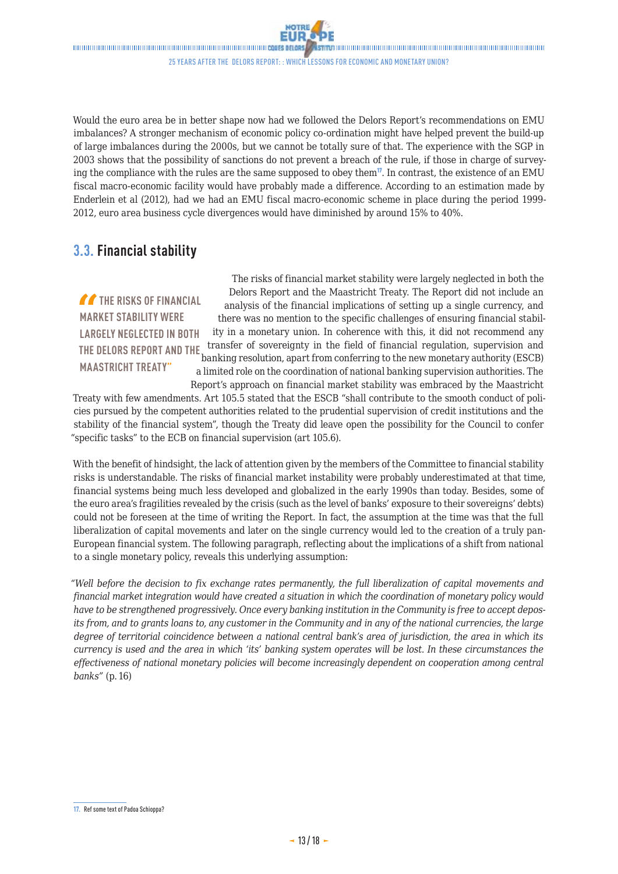25 years after the Delors report: : Which lessons for economic and monetary union?

Would the euro area be in better shape now had we followed the Delors Report's recommendations on EMU imbalances? A stronger mechanism of economic policy co-ordination might have helped prevent the build-up of large imbalances during the 2000s, but we cannot be totally sure of that. The experience with the SGP in 2003 shows that the possibility of sanctions do not prevent a breach of the rule, if those in charge of surveying the compliance with the rules are the same supposed to obey them<sup>17</sup>. In contrast, the existence of an EMU fiscal macro-economic facility would have probably made a difference. According to an estimation made by Enderlein et al (2012), had we had an EMU fiscal macro-economic scheme in place during the period 1999- 2012, euro area business cycle divergences would have diminished by around 15% to 40%.

### **3.3. Financial stability**

**THE RISKS OF FINANCIAL MARKET STABILITY WERE LARGELY NEGLECTED IN BOTH THE DELORS REPORT AND THE MAASTRICHT TREATY"**

The risks of financial market stability were largely neglected in both the Delors Report and the Maastricht Treaty. The Report did not include an analysis of the financial implications of setting up a single currency, and there was no mention to the specific challenges of ensuring financial stability in a monetary union. In coherence with this, it did not recommend any transfer of sovereignty in the field of financial regulation, supervision and banking resolution, apart from conferring to the new monetary authority (ESCB) a limited role on the coordination of national banking supervision authorities. The Report's approach on financial market stability was embraced by the Maastricht

Treaty with few amendments. Art 105.5 stated that the ESCB "shall contribute to the smooth conduct of policies pursued by the competent authorities related to the prudential supervision of credit institutions and the stability of the financial system", though the Treaty did leave open the possibility for the Council to confer "specific tasks" to the ECB on financial supervision (art 105.6).

With the benefit of hindsight, the lack of attention given by the members of the Committee to financial stability risks is understandable. The risks of financial market instability were probably underestimated at that time, financial systems being much less developed and globalized in the early 1990s than today. Besides, some of the euro area's fragilities revealed by the crisis (such as the level of banks' exposure to their sovereigns' debts) could not be foreseen at the time of writing the Report. In fact, the assumption at the time was that the full liberalization of capital movements and later on the single currency would led to the creation of a truly pan-European financial system. The following paragraph, reflecting about the implications of a shift from national to a single monetary policy, reveals this underlying assumption:

*"Well before the decision to fix exchange rates permanently, the full liberalization of capital movements and financial market integration would have created a situation in which the coordination of monetary policy would have to be strengthened progressively. Once every banking institution in the Community is free to accept deposits from, and to grants loans to, any customer in the Community and in any of the national currencies, the large degree of territorial coincidence between a national central bank's area of jurisdiction, the area in which its currency is used and the area in which 'its' banking system operates will be lost. In these circumstances the effectiveness of national monetary policies will become increasingly dependent on cooperation among central banks"* (p. 16)

**<sup>17.</sup>** Ref some text of Padoa Schioppa?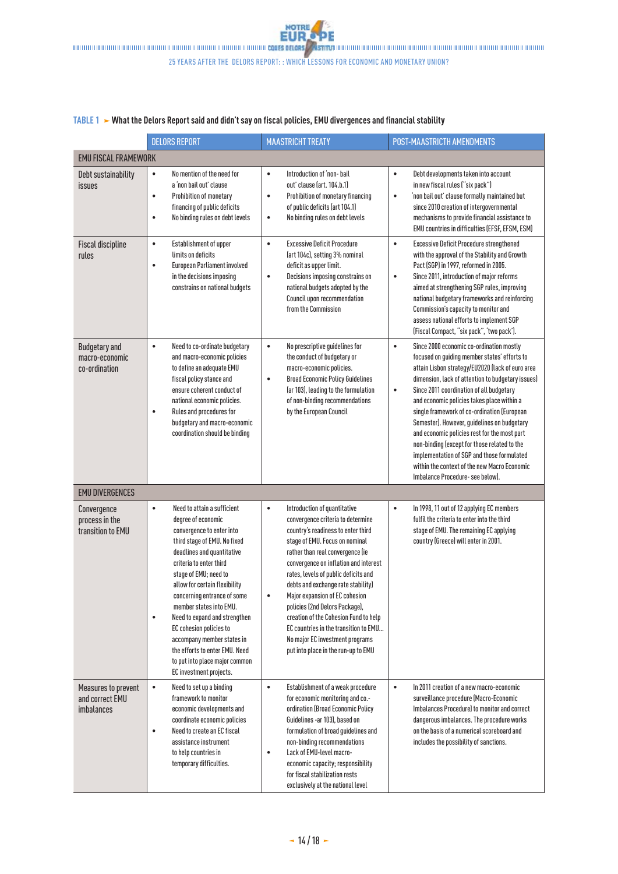#### **TABLE 1 What the Delors Report said and didn't say on fiscal policies, EMU divergences and financial stability**

|                                                             | <b>DELORS REPORT</b>                                                                                                                                                                                                                                                                                                                                                                                                                                                                                           | <b>MAASTRICHT TREATY</b>                                                                                                                                                                                                                                                                                                                                                                                                                                                                                                                          | <b>POST-MAASTRICTH AMENDMENTS</b>                                                                                                                                                                                                                                                                                                                                                                                                                                                                                                                                                                                                                     |
|-------------------------------------------------------------|----------------------------------------------------------------------------------------------------------------------------------------------------------------------------------------------------------------------------------------------------------------------------------------------------------------------------------------------------------------------------------------------------------------------------------------------------------------------------------------------------------------|---------------------------------------------------------------------------------------------------------------------------------------------------------------------------------------------------------------------------------------------------------------------------------------------------------------------------------------------------------------------------------------------------------------------------------------------------------------------------------------------------------------------------------------------------|-------------------------------------------------------------------------------------------------------------------------------------------------------------------------------------------------------------------------------------------------------------------------------------------------------------------------------------------------------------------------------------------------------------------------------------------------------------------------------------------------------------------------------------------------------------------------------------------------------------------------------------------------------|
| <b>EMU FISCAL FRAMEWORK</b>                                 |                                                                                                                                                                                                                                                                                                                                                                                                                                                                                                                |                                                                                                                                                                                                                                                                                                                                                                                                                                                                                                                                                   |                                                                                                                                                                                                                                                                                                                                                                                                                                                                                                                                                                                                                                                       |
| Debt sustainability<br>issues                               | No mention of the need for<br>$\bullet$<br>a 'non bail out' clause<br>$\bullet$<br>Prohibition of monetary<br>financing of public deficits<br>No binding rules on debt levels<br>$\bullet$                                                                                                                                                                                                                                                                                                                     | Introduction of 'non- bail<br>$\bullet$<br>out' clause (art. 104.b.1)<br>Prohibition of monetary financing<br>٠<br>of public deficits (art 104.1)<br>No binding rules on debt levels<br>٠                                                                                                                                                                                                                                                                                                                                                         | Debt developments taken into account<br>$\bullet$<br>in new fiscal rules ("six pack")<br>'non bail out' clause formally maintained but<br>$\bullet$<br>since 2010 creation of intergovernmental<br>mechanisms to provide financial assistance to<br>EMU countries in difficulties (EFSF, EFSM, ESM)                                                                                                                                                                                                                                                                                                                                                   |
| <b>Fiscal discipline</b><br>rules                           | Establishment of upper<br>$\bullet$<br>limits on deficits<br><b>European Parliament involved</b><br>$\bullet$<br>in the decisions imposing<br>constrains on national budgets                                                                                                                                                                                                                                                                                                                                   | <b>Excessive Deficit Procedure</b><br>$\bullet$<br>(art 104c), setting 3% nominal<br>deficit as upper limit.<br>Decisions imposing constrains on<br>$\bullet$<br>national budgets adopted by the<br>Council upon recommendation<br>from the Commission                                                                                                                                                                                                                                                                                            | <b>Excessive Deficit Procedure strengthened</b><br>$\bullet$<br>with the approval of the Stability and Growth<br>Pact (SGP) in 1997, reformed in 2005.<br>Since 2011, introduction of major reforms<br>$\bullet$<br>aimed at strengthening SGP rules, improving<br>national budgetary frameworks and reinforcing<br>Commission's capacity to monitor and<br>assess national efforts to implement SGP<br>(Fiscal Compact, "six pack", 'two pack').                                                                                                                                                                                                     |
| <b>Budgetary and</b><br>macro-economic<br>co-ordination     | $\bullet$<br>Need to co-ordinate budgetary<br>and macro-economic policies<br>to define an adequate EMU<br>fiscal policy stance and<br>ensure coherent conduct of<br>national economic policies.<br>Rules and procedures for<br>$\bullet$<br>budgetary and macro-economic<br>coordination should be binding                                                                                                                                                                                                     | $\bullet$<br>No prescriptive guidelines for<br>the conduct of budgetary or<br>macro-economic policies.<br><b>Broad Economic Policy Guidelines</b><br>$\bullet$<br>(ar 103), leading to the formulation<br>of non-binding recommendations<br>by the European Council                                                                                                                                                                                                                                                                               | $\bullet$<br>Since 2000 economic co-ordination mostly<br>focused on guiding member states' efforts to<br>attain Lisbon strategy/EU2020 (lack of euro area<br>dimension, lack of attention to budgetary issues)<br>Since 2011 coordination of all budgetary<br>$\bullet$<br>and economic policies takes place within a<br>single framework of co-ordination (European<br>Semester). However, guidelines on budgetary<br>and economic policies rest for the most part<br>non-binding (except for those related to the<br>implementation of SGP and those formulated<br>within the context of the new Macro Economic<br>Imbalance Procedure- see below). |
| <b>EMU DIVERGENCES</b>                                      |                                                                                                                                                                                                                                                                                                                                                                                                                                                                                                                |                                                                                                                                                                                                                                                                                                                                                                                                                                                                                                                                                   |                                                                                                                                                                                                                                                                                                                                                                                                                                                                                                                                                                                                                                                       |
| Convergence<br>process in the<br>transition to EMU          | Need to attain a sufficient<br>$\bullet$<br>degree of economic<br>convergence to enter into<br>third stage of EMU. No fixed<br>deadlines and quantitative<br>criteria to enter third<br>stage of EMU; need to<br>allow for certain flexibility<br>concerning entrance of some<br>member states into EMU.<br>$\bullet$<br>Need to expand and strengthen<br>EC cohesion policies to<br>accompany member states in<br>the efforts to enter EMU. Need<br>to put into place major common<br>EC investment projects. | Introduction of quantitative<br>$\bullet$<br>convergence criteria to determine<br>country's readiness to enter third<br>stage of EMU. Focus on nominal<br>rather than real convergence (ie<br>convergence on inflation and interest<br>rates, levels of public deficits and<br>debts and exchange rate stability)<br>Major expansion of EC cohesion<br>policies (2nd Delors Package),<br>creation of the Cohesion Fund to help<br>EC countries in the transition to EMU<br>No major EC investment programs<br>put into place in the run-up to EMU | In 1998, 11 out of 12 applying EC members<br>$\bullet$<br>fulfil the criteria to enter into the third<br>stage of EMU. The remaining EC applying<br>country (Greece) will enter in 2001.                                                                                                                                                                                                                                                                                                                                                                                                                                                              |
| Measures to prevent<br>and correct EMU<br><i>imbalances</i> | $\bullet$<br>Need to set up a binding<br>framework to monitor<br>economic developments and<br>coordinate economic policies<br>Need to create an EC fiscal<br>$\bullet$<br>assistance instrument<br>to help countries in<br>temporary difficulties.                                                                                                                                                                                                                                                             | Establishment of a weak procedure<br>$\bullet$<br>for economic monitoring and co-<br>ordination (Broad Economic Policy<br>Guidelines -ar 103), based on<br>formulation of broad guidelines and<br>non-binding recommendations<br>Lack of EMU-level macro-<br>٠<br>economic capacity; responsibility<br>for fiscal stabilization rests<br>exclusively at the national level                                                                                                                                                                        | In 2011 creation of a new macro-economic<br>$\bullet$<br>surveillance procedure (Macro-Economic<br>Imbalances Procedure) to monitor and correct<br>dangerous imbalances. The procedure works<br>on the basis of a numerical scoreboard and<br>includes the possibility of sanctions.                                                                                                                                                                                                                                                                                                                                                                  |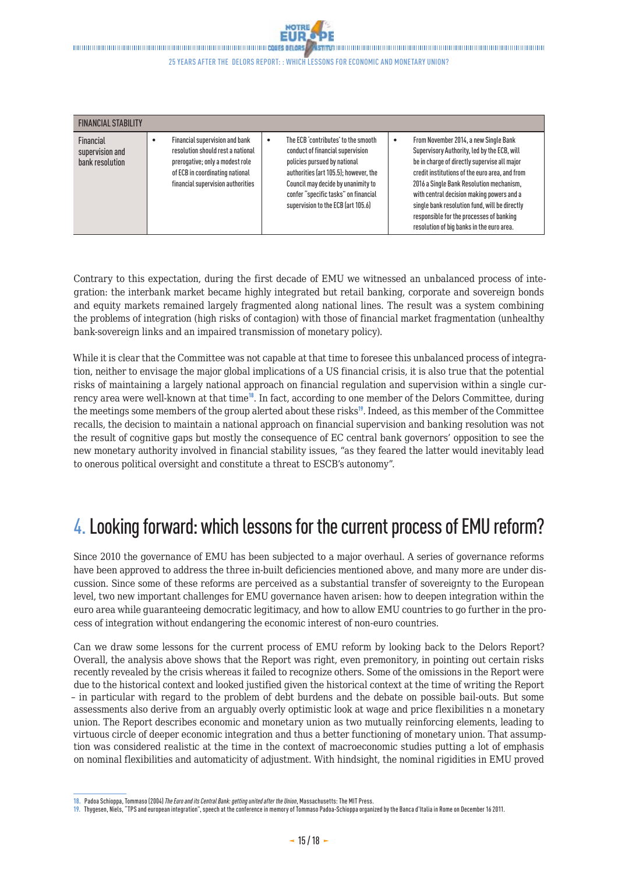<span id="page-14-0"></span>**Stavionalition in communities in the communities of the communities of the communities** 

#### 25 years after the Delors report: : Which lessons for economic and monetary union?

| <b>FINANCIAL STABILITY</b>                      |  |                                                                                                                                                                                |   |                                                                                                                                                                                                                                                                      |   |                                                                                                                                                                                                                                                                                                                                                                                                                           |  |  |
|-------------------------------------------------|--|--------------------------------------------------------------------------------------------------------------------------------------------------------------------------------|---|----------------------------------------------------------------------------------------------------------------------------------------------------------------------------------------------------------------------------------------------------------------------|---|---------------------------------------------------------------------------------------------------------------------------------------------------------------------------------------------------------------------------------------------------------------------------------------------------------------------------------------------------------------------------------------------------------------------------|--|--|
| Financial<br>supervision and<br>bank resolution |  | Financial supervision and bank<br>resolution should rest a national<br>prerogative; only a modest role<br>of ECB in coordinating national<br>financial supervision authorities | ٠ | The ECB 'contributes' to the smooth<br>conduct of financial supervision<br>policies pursued by national<br>authorities (art 105.5); however, the<br>Council may decide by unanimity to<br>confer "specific tasks" on financial<br>supervision to the ECB (art 105.6) | ٠ | From November 2014, a new Single Bank<br>Supervisory Authority, led by the ECB, will<br>be in charge of directly supervise all major<br>credit institutions of the euro area, and from<br>2016 a Single Bank Resolution mechanism.<br>with central decision making powers and a<br>single bank resolution fund, will be directly<br>responsible for the processes of banking<br>resolution of big banks in the euro area. |  |  |

Contrary to this expectation, during the first decade of EMU we witnessed an unbalanced process of integration: the interbank market became highly integrated but retail banking, corporate and sovereign bonds and equity markets remained largely fragmented along national lines. The result was a system combining the problems of integration (high risks of contagion) with those of financial market fragmentation (unhealthy bank-sovereign links and an impaired transmission of monetary policy).

While it is clear that the Committee was not capable at that time to foresee this unbalanced process of integration, neither to envisage the major global implications of a US financial crisis, it is also true that the potential risks of maintaining a largely national approach on financial regulation and supervision within a single currency area were well-known at that time<sup>18</sup>. In fact, according to one member of the Delors Committee, during the meetings some members of the group alerted about these risks<sup>19</sup>. Indeed, as this member of the Committee recalls, the decision to maintain a national approach on financial supervision and banking resolution was not the result of cognitive gaps but mostly the consequence of EC central bank governors' opposition to see the new monetary authority involved in financial stability issues, "as they feared the latter would inevitably lead to onerous political oversight and constitute a threat to ESCB's autonomy".

## 4.Looking forward: which lessons for the current process of EMU reform?

Since 2010 the governance of EMU has been subjected to a major overhaul. A series of governance reforms have been approved to address the three in-built deficiencies mentioned above, and many more are under discussion. Since some of these reforms are perceived as a substantial transfer of sovereignty to the European level, two new important challenges for EMU governance haven arisen: how to deepen integration within the euro area while guaranteeing democratic legitimacy, and how to allow EMU countries to go further in the process of integration without endangering the economic interest of non-euro countries.

Can we draw some lessons for the current process of EMU reform by looking back to the Delors Report? Overall, the analysis above shows that the Report was right, even premonitory, in pointing out certain risks recently revealed by the crisis whereas it failed to recognize others. Some of the omissions in the Report were due to the historical context and looked justified given the historical context at the time of writing the Report – in particular with regard to the problem of debt burdens and the debate on possible bail-outs. But some assessments also derive from an arguably overly optimistic look at wage and price flexibilities n a monetary union. The Report describes economic and monetary union as two mutually reinforcing elements, leading to virtuous circle of deeper economic integration and thus a better functioning of monetary union. That assumption was considered realistic at the time in the context of macroeconomic studies putting a lot of emphasis on nominal flexibilities and automaticity of adjustment. With hindsight, the nominal rigidities in EMU proved

**<sup>18.</sup>** Padoa Schioppa, Tommaso (2004) *The Euro and its Central Bank: getting united after the Union*, Massachusetts: The MIT Press.

**<sup>19.</sup>** Thygesen, Niels, "TPS and european integration", speech at the conference in memory of Tommaso Padoa-Schioppa organized by the Banca d'Italia in Rome on December16 2011.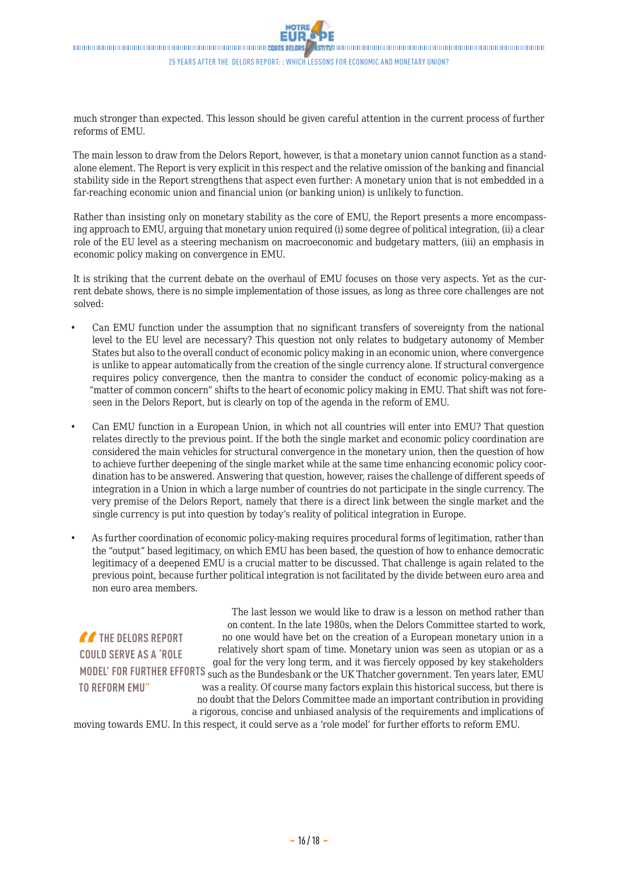much stronger than expected. This lesson should be given careful attention in the current process of further reforms of EMU.

The main lesson to draw from the Delors Report, however, is that a monetary union cannot function as a standalone element. The Report is very explicit in this respect and the relative omission of the banking and financial stability side in the Report strengthens that aspect even further: A monetary union that is not embedded in a far-reaching economic union and financial union (or banking union) is unlikely to function.

Rather than insisting only on monetary stability as the core of EMU, the Report presents a more encompassing approach to EMU, arguing that monetary union required (i) some degree of political integration, (ii) a clear role of the EU level as a steering mechanism on macroeconomic and budgetary matters, (iii) an emphasis in economic policy making on convergence in EMU.

It is striking that the current debate on the overhaul of EMU focuses on those very aspects. Yet as the current debate shows, there is no simple implementation of those issues, as long as three core challenges are not solved:

- Can EMU function under the assumption that no significant transfers of sovereignty from the national level to the EU level are necessary? This question not only relates to budgetary autonomy of Member States but also to the overall conduct of economic policy making in an economic union, where convergence is unlike to appear automatically from the creation of the single currency alone. If structural convergence requires policy convergence, then the mantra to consider the conduct of economic policy-making as a "matter of common concern" shifts to the heart of economic policy making in EMU. That shift was not foreseen in the Delors Report, but is clearly on top of the agenda in the reform of EMU.
- Can EMU function in a European Union, in which not all countries will enter into EMU? That question relates directly to the previous point. If the both the single market and economic policy coordination are considered the main vehicles for structural convergence in the monetary union, then the question of how to achieve further deepening of the single market while at the same time enhancing economic policy coordination has to be answered. Answering that question, however, raises the challenge of different speeds of integration in a Union in which a large number of countries do not participate in the single currency. The very premise of the Delors Report, namely that there is a direct link between the single market and the single currency is put into question by today's reality of political integration in Europe.
- As further coordination of economic policy-making requires procedural forms of legitimation, rather than the "output" based legitimacy, on which EMU has been based, the question of how to enhance democratic legitimacy of a deepened EMU is a crucial matter to be discussed. That challenge is again related to the previous point, because further political integration is not facilitated by the divide between euro area and non euro area members.

**THE DELORS REPORT COULD SERVE AS A 'ROLE TO REFORM EMU"**

**MODEL' FOR FURTHER EFFORTS**  such as the Bundesbank or the UK Thatcher government. Ten years later, EMU The last lesson we would like to draw is a lesson on method rather than on content. In the late 1980s, when the Delors Committee started to work, no one would have bet on the creation of a European monetary union in a relatively short spam of time. Monetary union was seen as utopian or as a goal for the very long term, and it was fiercely opposed by key stakeholders was a reality. Of course many factors explain this historical success, but there is no doubt that the Delors Committee made an important contribution in providing a rigorous, concise and unbiased analysis of the requirements and implications of

moving towards EMU. In this respect, it could serve as a 'role model' for further efforts to reform EMU.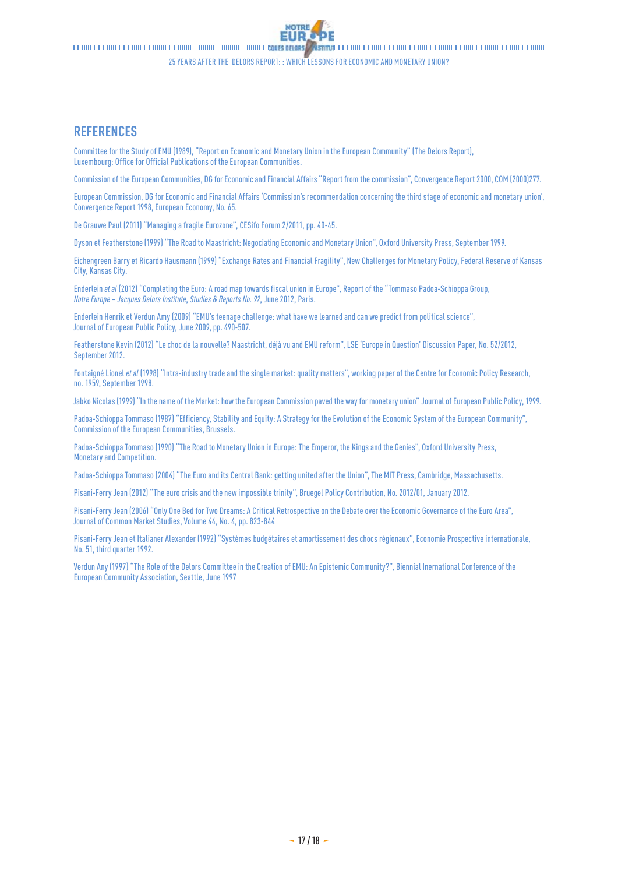<span id="page-16-0"></span>

25 years after the Delors report: : Which lessons for economic and monetary union?

### **REFERENCES**

Committee for the Study of EMU (1989), "[Report on Economic and Monetary Union in the European Community](http://aei.pitt.edu/1007/1/monetary_delors.pdf)" (The Delors Report), Luxembourg: Office for Official Publications of the European Communities.

Commission of the European Communities, DG for Economic and Financial Affairs "[Report from the commission"](http://ec.europa.eu/economy_finance/publications/publication8912_en.pdf), Convergence Report 2000, COM (2000)277.

European Commission, DG for Economic and Financial Affairs ['Commission's recommendation concerning the third stage of economic and monetary union',](http://ec.europa.eu/economy_finance/publications/publication8013_en.pdf) Convergence Report 1998, European Economy, No.65.

De Grauwe Paul (2011) "[Managing a fragile Eurozone](http://citeseerx.ist.psu.edu/viewdoc/download?doi=10.1.1.401.1757&rep=rep1&type=pdf)", CESifo Forum 2/2011, pp.40-45.

Dyson et Featherstone (1999) "The Road to Maastricht: Negociating Economic and Monetary Union", Oxford University Press, September1999.

Eichengreen Barry et Ricardo Hausmann (1999) "[Exchange Rates and Financial Fragility"](http://www.kc.frb.org/publicat/sympos/1999/S99eich.pdf), New Challenges for Monetary Policy, Federal Reserve of Kansas City, Kansas City.

Enderlein *et al* (2012) "[Completing the Euro: A road map towards fiscal union in Europe](http://www.notre-europe.eu/media/completingtheeuroreportpadoa-schioppagroupnejune2012.pdf?pdf=ok)", Report of the "Tommaso Padoa-Schioppa Group, *Notre Europe – Jacques Delors Institute*, *Studies & Reports No.92*, June2012, Paris.

Enderlein Henrik et Verdun Amy (2009) ["EMU's teenage challenge: what have we learned and can we predict from political science"](http://www.tandfonline.com/doi/pdf/10.1080/13501760902872106), Journal of European Public Policy, June2009, pp.490-507.

Featherstone Kevin (2012) "[Le choc de la nouvelle? Maastricht, déjà vu and EMU reform"](http://www.lse.ac.uk/europeanInstitute/LEQS/LEQSPaper52.pdf), LSE 'Europe in Question' Discussion Paper, No.52/2012, September 2012.

Fontaigné Lionel *et al* (1998) ["Intra-industry trade and the single market: quality matters](http://lionel.fontagne.free.fr/papers/Cepr_1959.pdf)", working paper of the Centre for Economic Policy Research, no.1959, September1998.

Jabko Nicolas (1999) ["In the name of the Market: how the European Commission paved the way for monetary union"](http://www.uasb.edu.ec/UserFiles/372/File/pdfs/CENTRO%20ANDINO%20DE%20ESTUDIOS%20INTERNACIONALES/Timo%20Goosmann%20Jabko_1999_In_Name_of_Market.pdf) Journal of European Public Policy, 1999.

Padoa-Schioppa Tommaso (1987) "[Efficiency, Stability and Equity: A Strategy for the Evolution of the Economic System of the European Community](http://ec.europa.eu/archives/emu_history/documentation/chapter12/19870410en149efficiencstabil_a.pdf)", Commission of the European Communities, Brussels.

Padoa-Schioppa Tommaso (1990) "The Road to Monetary Union in Europe: The Emperor, the Kings and the Genies", Oxford University Press, Monetary and Competition.

Padoa-Schioppa Tommaso (2004) "The Euro and its Central Bank: getting united after the Union", The MIT Press, Cambridge, Massachusetts.

Pisani-Ferry Jean (2012) "[The euro crisis and the new impossible trinity](http://www.bruegel.org/fileadmin/bruegel_files/Events/Event_materials/AEEF_Dec_2011/Jean_Pisani-Ferry_PAPER.pdf)", Bruegel Policy Contribution, No.2012/01, January2012.

Pisani-Ferry Jean (2006) ["Only One Bed for Two Dreams: A Critical Retrospective on the Debate over the Economic Governance of the Euro Area"](http://fsaraceno.free.fr/re-06-jcms.pdf), Journal of Common Market Studies, Volume44, No.4, pp.823-844

Pisani-Ferry Jean et Italianer Alexander (1992) ["Systèmes budgétaires et amortissement des chocs régionaux"](http://www.cepii.fr/IE/PDF/EI_51-4.pdf), Economie Prospective internationale, No.51, third quarter 1992.

Verdun Any (1997) "[The Role of the Delors Committee in the Creation of EMU: An Epistemic Community?](http://aei.pitt.edu/2747/1/002721_1.PDF)", Biennial Inernational Conference of the European Community Association, Seattle, June1997